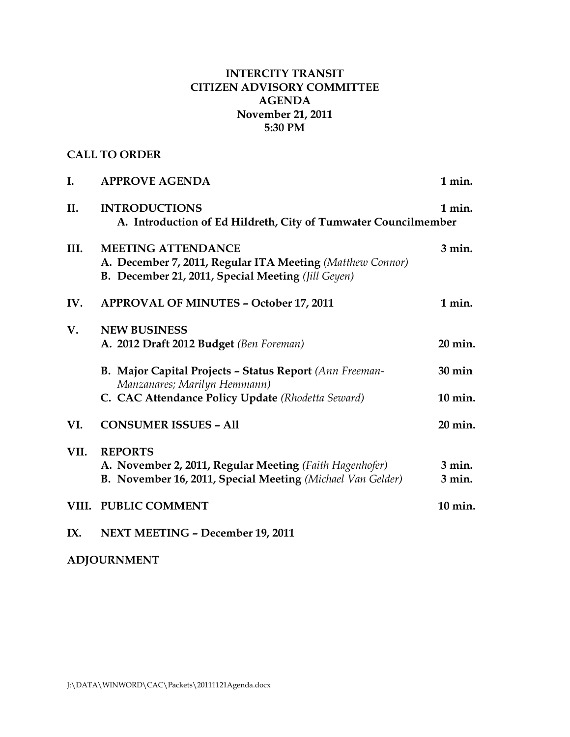# **INTERCITY TRANSIT CITIZEN ADVISORY COMMITTEE AGENDA November 21, 2011 5:30 PM**

# **CALL TO ORDER**

| I.    | <b>APPROVE AGENDA</b>                                                                                                                        | 1 min.               |
|-------|----------------------------------------------------------------------------------------------------------------------------------------------|----------------------|
| II.   | <b>INTRODUCTIONS</b><br>1 min.<br>A. Introduction of Ed Hildreth, City of Tumwater Councilmember                                             |                      |
| III.  | <b>MEETING ATTENDANCE</b><br>A. December 7, 2011, Regular ITA Meeting (Matthew Connor)<br>B. December 21, 2011, Special Meeting (Jill Geyen) | $3$ min.             |
| IV.   | <b>APPROVAL OF MINUTES - October 17, 2011</b>                                                                                                | 1 min.               |
| V.    | <b>NEW BUSINESS</b><br>A. 2012 Draft 2012 Budget (Ben Foreman)                                                                               | 20 min.              |
|       | B. Major Capital Projects - Status Report (Ann Freeman-<br>Manzanares; Marilyn Hemmann)                                                      | $30 \text{ min}$     |
|       | C. CAC Attendance Policy Update (Rhodetta Seward)                                                                                            | 10 min.              |
| VI.   | <b>CONSUMER ISSUES - All</b>                                                                                                                 | 20 min.              |
| VII.  | <b>REPORTS</b><br>A. November 2, 2011, Regular Meeting (Faith Hagenhofer)<br>B. November 16, 2011, Special Meeting (Michael Van Gelder)      | $3$ min.<br>$3$ min. |
| VIII. | <b>PUBLIC COMMENT</b>                                                                                                                        | 10 min.              |
| IX.   | <b>NEXT MEETING - December 19, 2011</b>                                                                                                      |                      |

**ADJOURNMENT**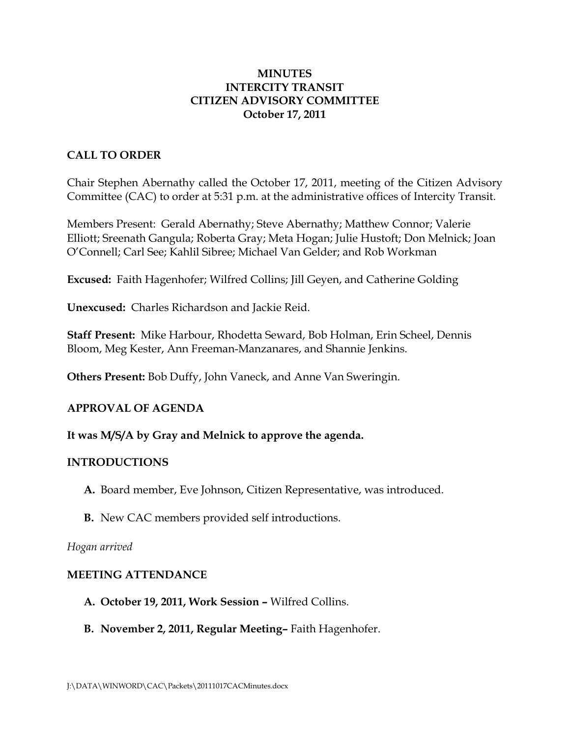### **MINUTES INTERCITY TRANSIT CITIZEN ADVISORY COMMITTEE October 17, 2011**

### **CALL TO ORDER**

Chair Stephen Abernathy called the October 17, 2011, meeting of the Citizen Advisory Committee (CAC) to order at 5:31 p.m. at the administrative offices of Intercity Transit.

Members Present: Gerald Abernathy; Steve Abernathy; Matthew Connor; Valerie Elliott; Sreenath Gangula; Roberta Gray; Meta Hogan; Julie Hustoft; Don Melnick; Joan O'Connell; Carl See; Kahlil Sibree; Michael Van Gelder; and Rob Workman

**Excused:** Faith Hagenhofer; Wilfred Collins; Jill Geyen, and Catherine Golding

**Unexcused:** Charles Richardson and Jackie Reid.

**Staff Present:** Mike Harbour, Rhodetta Seward, Bob Holman, Erin Scheel, Dennis Bloom, Meg Kester, Ann Freeman-Manzanares, and Shannie Jenkins.

**Others Present:** Bob Duffy, John Vaneck, and Anne Van Sweringin.

### **APPROVAL OF AGENDA**

#### **It was M/S/A by Gray and Melnick to approve the agenda.**

#### **INTRODUCTIONS**

- **A.** Board member, Eve Johnson, Citizen Representative, was introduced.
- **B.** New CAC members provided self introductions.

#### *Hogan arrived*

#### **MEETING ATTENDANCE**

- **A. October 19, 2011, Work Session –** Wilfred Collins.
- **B. November 2, 2011, Regular Meeting–** Faith Hagenhofer.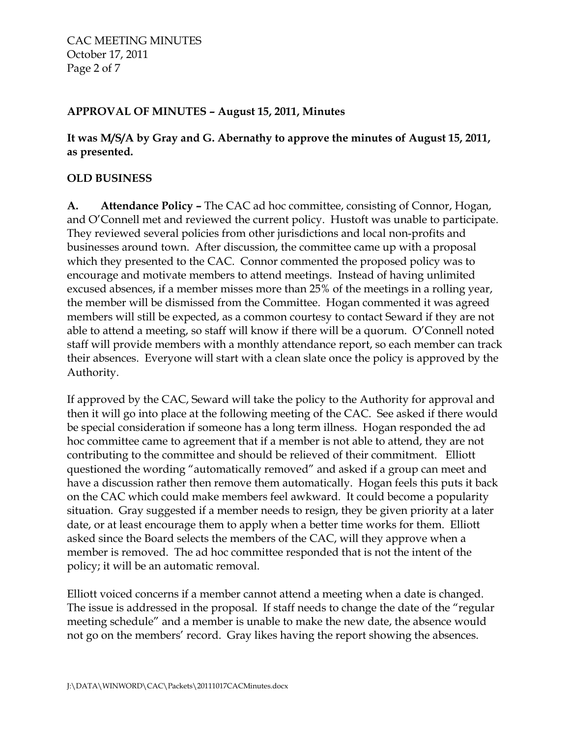# **APPROVAL OF MINUTES – August 15, 2011, Minutes**

# **It was M/S/A by Gray and G. Abernathy to approve the minutes of August 15, 2011, as presented.**

### **OLD BUSINESS**

**A. Attendance Policy –** The CAC ad hoc committee, consisting of Connor, Hogan, and O'Connell met and reviewed the current policy. Hustoft was unable to participate. They reviewed several policies from other jurisdictions and local non-profits and businesses around town. After discussion, the committee came up with a proposal which they presented to the CAC. Connor commented the proposed policy was to encourage and motivate members to attend meetings. Instead of having unlimited excused absences, if a member misses more than 25% of the meetings in a rolling year, the member will be dismissed from the Committee. Hogan commented it was agreed members will still be expected, as a common courtesy to contact Seward if they are not able to attend a meeting, so staff will know if there will be a quorum. O'Connell noted staff will provide members with a monthly attendance report, so each member can track their absences. Everyone will start with a clean slate once the policy is approved by the Authority.

If approved by the CAC, Seward will take the policy to the Authority for approval and then it will go into place at the following meeting of the CAC. See asked if there would be special consideration if someone has a long term illness. Hogan responded the ad hoc committee came to agreement that if a member is not able to attend, they are not contributing to the committee and should be relieved of their commitment. Elliott questioned the wording "automatically removed" and asked if a group can meet and have a discussion rather then remove them automatically. Hogan feels this puts it back on the CAC which could make members feel awkward. It could become a popularity situation. Gray suggested if a member needs to resign, they be given priority at a later date, or at least encourage them to apply when a better time works for them. Elliott asked since the Board selects the members of the CAC, will they approve when a member is removed. The ad hoc committee responded that is not the intent of the policy; it will be an automatic removal.

Elliott voiced concerns if a member cannot attend a meeting when a date is changed. The issue is addressed in the proposal. If staff needs to change the date of the "regular meeting schedule" and a member is unable to make the new date, the absence would not go on the members' record. Gray likes having the report showing the absences.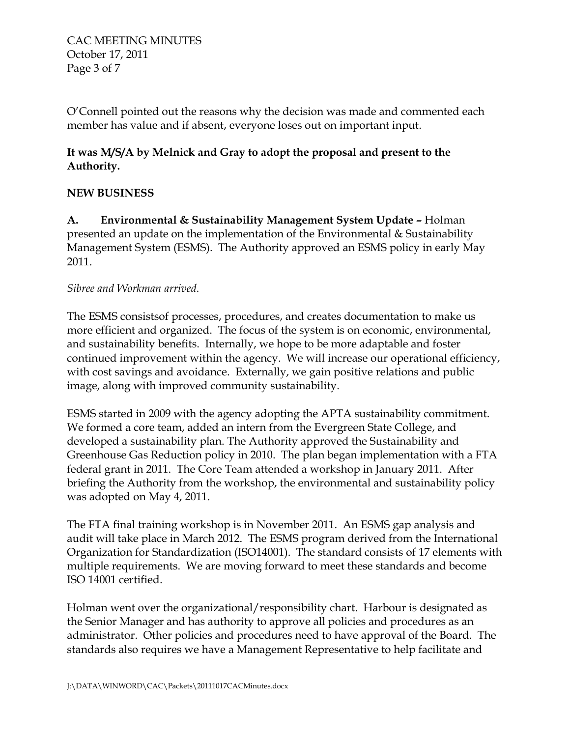CAC MEETING MINUTES October 17, 2011 Page 3 of 7

O'Connell pointed out the reasons why the decision was made and commented each member has value and if absent, everyone loses out on important input.

# **It was M/S/A by Melnick and Gray to adopt the proposal and present to the Authority.**

# **NEW BUSINESS**

**A. Environmental & Sustainability Management System Update –** Holman presented an update on the implementation of the Environmental & Sustainability Management System (ESMS). The Authority approved an ESMS policy in early May 2011.

## *Sibree and Workman arrived.*

The ESMS consistsof processes, procedures, and creates documentation to make us more efficient and organized. The focus of the system is on economic, environmental, and sustainability benefits. Internally, we hope to be more adaptable and foster continued improvement within the agency. We will increase our operational efficiency, with cost savings and avoidance. Externally, we gain positive relations and public image, along with improved community sustainability.

ESMS started in 2009 with the agency adopting the APTA sustainability commitment. We formed a core team, added an intern from the Evergreen State College, and developed a sustainability plan. The Authority approved the Sustainability and Greenhouse Gas Reduction policy in 2010. The plan began implementation with a FTA federal grant in 2011. The Core Team attended a workshop in January 2011. After briefing the Authority from the workshop, the environmental and sustainability policy was adopted on May 4, 2011.

The FTA final training workshop is in November 2011. An ESMS gap analysis and audit will take place in March 2012. The ESMS program derived from the International Organization for Standardization (ISO14001). The standard consists of 17 elements with multiple requirements. We are moving forward to meet these standards and become ISO 14001 certified.

Holman went over the organizational/responsibility chart. Harbour is designated as the Senior Manager and has authority to approve all policies and procedures as an administrator. Other policies and procedures need to have approval of the Board. The standards also requires we have a Management Representative to help facilitate and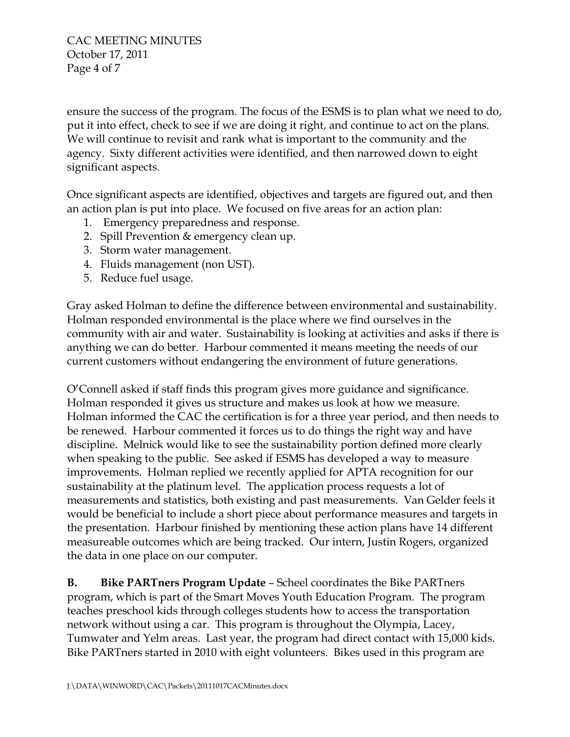CAC MEETING MINUTES October 17, 2011 Page 4 of 7

ensure the success of the program. The focus of the ESMS is to plan what we need to do, put it into effect, check to see if we are doing it right, and continue to act on the plans. We will continue to revisit and rank what is important to the community and the agency. Sixty different activities were identified, and then narrowed down to eight significant aspects.

Once significant aspects are identified, objectives and targets are figured out, and then an action plan is put into place. We focused on five areas for an action plan:

- 1. Emergency preparedness and response.
- 2. Spill Prevention & emergency clean up.
- 3. Storm water management.
- 4. Fluids management (non UST).
- 5. Reduce fuel usage.

Gray asked Holman to define the difference between environmental and sustainability. Holman responded environmental is the place where we find ourselves in the community with air and water. Sustainability is looking at activities and asks if there is anything we can do better. Harbour commented it means meeting the needs of our current customers without endangering the environment of future generations.

O'Connell asked if staff finds this program gives more guidance and significance. Holman responded it gives us structure and makes us look at how we measure. Holman informed the CAC the certification is for a three year period, and then needs to be renewed. Harbour commented it forces us to do things the right way and have discipline. Melnick would like to see the sustainability portion defined more clearly when speaking to the public. See asked if ESMS has developed a way to measure improvements. Holman replied we recently applied for APTA recognition for our sustainability at the platinum level. The application process requests a lot of measurements and statistics, both existing and past measurements. Van Gelder feels it would be beneficial to include a short piece about performance measures and targets in the presentation. Harbour finished by mentioning these action plans have 14 different measureable outcomes which are being tracked. Our intern, Justin Rogers, organized the data in one place on our computer.

**B. Bike PARTners Program Update** – Scheel coordinates the Bike PARTners program, which is part of the Smart Moves Youth Education Program. The program teaches preschool kids through colleges students how to access the transportation network without using a car. This program is throughout the Olympia, Lacey, Tumwater and Yelm areas. Last year, the program had direct contact with 15,000 kids. Bike PARTners started in 2010 with eight volunteers. Bikes used in this program are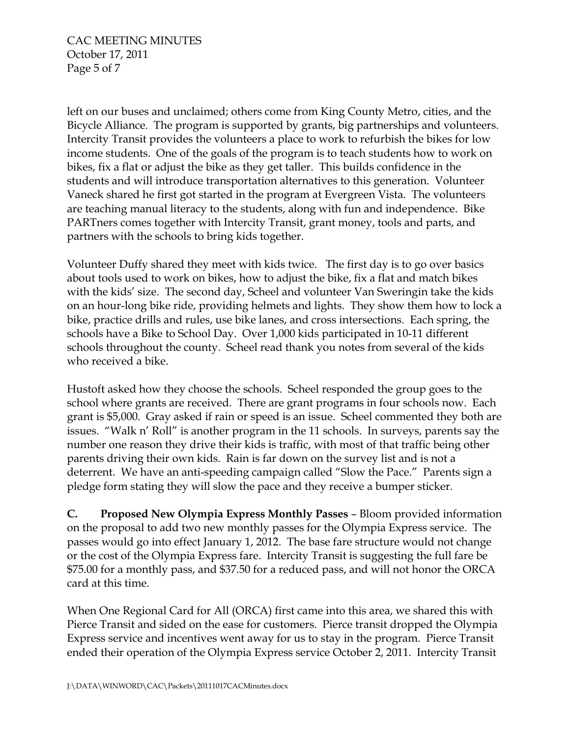CAC MEETING MINUTES October 17, 2011 Page 5 of 7

left on our buses and unclaimed; others come from King County Metro, cities, and the Bicycle Alliance. The program is supported by grants, big partnerships and volunteers. Intercity Transit provides the volunteers a place to work to refurbish the bikes for low income students. One of the goals of the program is to teach students how to work on bikes, fix a flat or adjust the bike as they get taller. This builds confidence in the students and will introduce transportation alternatives to this generation. Volunteer Vaneck shared he first got started in the program at Evergreen Vista. The volunteers are teaching manual literacy to the students, along with fun and independence. Bike PARTners comes together with Intercity Transit, grant money, tools and parts, and partners with the schools to bring kids together.

Volunteer Duffy shared they meet with kids twice. The first day is to go over basics about tools used to work on bikes, how to adjust the bike, fix a flat and match bikes with the kids' size. The second day, Scheel and volunteer Van Sweringin take the kids on an hour-long bike ride, providing helmets and lights. They show them how to lock a bike, practice drills and rules, use bike lanes, and cross intersections. Each spring, the schools have a Bike to School Day. Over 1,000 kids participated in 10-11 different schools throughout the county. Scheel read thank you notes from several of the kids who received a bike.

Hustoft asked how they choose the schools. Scheel responded the group goes to the school where grants are received. There are grant programs in four schools now. Each grant is \$5,000. Gray asked if rain or speed is an issue. Scheel commented they both are issues. "Walk n' Roll" is another program in the 11 schools. In surveys, parents say the number one reason they drive their kids is traffic, with most of that traffic being other parents driving their own kids. Rain is far down on the survey list and is not a deterrent. We have an anti-speeding campaign called "Slow the Pace." Parents sign a pledge form stating they will slow the pace and they receive a bumper sticker.

**C. Proposed New Olympia Express Monthly Passes** – Bloom provided information on the proposal to add two new monthly passes for the Olympia Express service. The passes would go into effect January 1, 2012. The base fare structure would not change or the cost of the Olympia Express fare. Intercity Transit is suggesting the full fare be \$75.00 for a monthly pass, and \$37.50 for a reduced pass, and will not honor the ORCA card at this time.

When One Regional Card for All (ORCA) first came into this area, we shared this with Pierce Transit and sided on the ease for customers. Pierce transit dropped the Olympia Express service and incentives went away for us to stay in the program. Pierce Transit ended their operation of the Olympia Express service October 2, 2011. Intercity Transit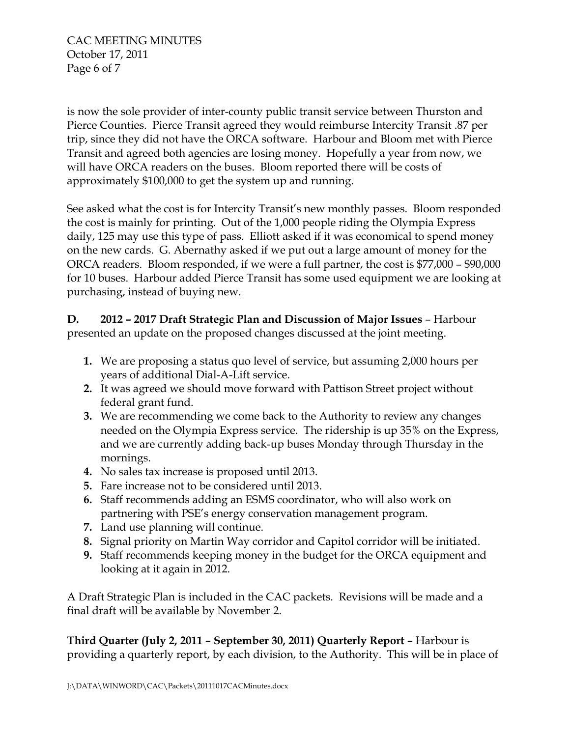CAC MEETING MINUTES October 17, 2011 Page 6 of 7

is now the sole provider of inter-county public transit service between Thurston and Pierce Counties. Pierce Transit agreed they would reimburse Intercity Transit .87 per trip, since they did not have the ORCA software. Harbour and Bloom met with Pierce Transit and agreed both agencies are losing money. Hopefully a year from now, we will have ORCA readers on the buses. Bloom reported there will be costs of approximately \$100,000 to get the system up and running.

See asked what the cost is for Intercity Transit's new monthly passes. Bloom responded the cost is mainly for printing. Out of the 1,000 people riding the Olympia Express daily, 125 may use this type of pass. Elliott asked if it was economical to spend money on the new cards. G. Abernathy asked if we put out a large amount of money for the ORCA readers. Bloom responded, if we were a full partner, the cost is \$77,000 – \$90,000 for 10 buses. Harbour added Pierce Transit has some used equipment we are looking at purchasing, instead of buying new.

**D. 2012 – 2017 Draft Strategic Plan and Discussion of Major Issues** – Harbour presented an update on the proposed changes discussed at the joint meeting.

- **1.** We are proposing a status quo level of service, but assuming 2,000 hours per years of additional Dial-A-Lift service.
- **2.** It was agreed we should move forward with Pattison Street project without federal grant fund.
- **3.** We are recommending we come back to the Authority to review any changes needed on the Olympia Express service. The ridership is up 35% on the Express, and we are currently adding back-up buses Monday through Thursday in the mornings.
- **4.** No sales tax increase is proposed until 2013.
- **5.** Fare increase not to be considered until 2013.
- **6.** Staff recommends adding an ESMS coordinator, who will also work on partnering with PSE's energy conservation management program.
- **7.** Land use planning will continue.
- **8.** Signal priority on Martin Way corridor and Capitol corridor will be initiated.
- **9.** Staff recommends keeping money in the budget for the ORCA equipment and looking at it again in 2012.

A Draft Strategic Plan is included in the CAC packets. Revisions will be made and a final draft will be available by November 2.

**Third Quarter (July 2, 2011 – September 30, 2011) Quarterly Report –** Harbour is providing a quarterly report, by each division, to the Authority. This will be in place of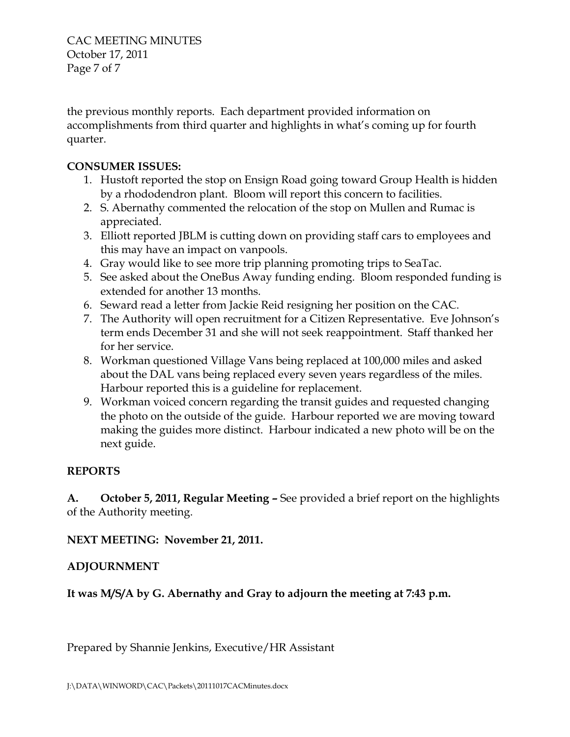CAC MEETING MINUTES October 17, 2011 Page 7 of 7

the previous monthly reports. Each department provided information on accomplishments from third quarter and highlights in what's coming up for fourth quarter.

# **CONSUMER ISSUES:**

- 1. Hustoft reported the stop on Ensign Road going toward Group Health is hidden by a rhododendron plant. Bloom will report this concern to facilities.
- 2. S. Abernathy commented the relocation of the stop on Mullen and Rumac is appreciated.
- 3. Elliott reported JBLM is cutting down on providing staff cars to employees and this may have an impact on vanpools.
- 4. Gray would like to see more trip planning promoting trips to SeaTac.
- 5. See asked about the OneBus Away funding ending. Bloom responded funding is extended for another 13 months.
- 6. Seward read a letter from Jackie Reid resigning her position on the CAC.
- 7. The Authority will open recruitment for a Citizen Representative. Eve Johnson's term ends December 31 and she will not seek reappointment. Staff thanked her for her service.
- 8. Workman questioned Village Vans being replaced at 100,000 miles and asked about the DAL vans being replaced every seven years regardless of the miles. Harbour reported this is a guideline for replacement.
- 9. Workman voiced concern regarding the transit guides and requested changing the photo on the outside of the guide. Harbour reported we are moving toward making the guides more distinct. Harbour indicated a new photo will be on the next guide.

# **REPORTS**

**A. October 5, 2011, Regular Meeting –** See provided a brief report on the highlights of the Authority meeting.

**NEXT MEETING: November 21, 2011.**

# **ADJOURNMENT**

**It was M/S/A by G. Abernathy and Gray to adjourn the meeting at 7:43 p.m.**

Prepared by Shannie Jenkins, Executive/HR Assistant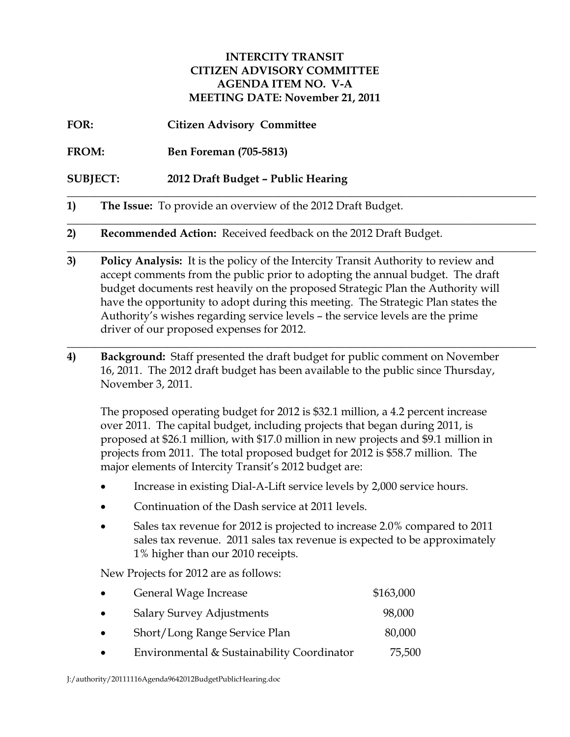# **INTERCITY TRANSIT CITIZEN ADVISORY COMMITTEE AGENDA ITEM NO. V-A MEETING DATE: November 21, 2011**

- **FOR: Citizen Advisory Committee**
- **FROM: Ben Foreman (705-5813)**
- **SUBJECT: 2012 Draft Budget – Public Hearing**
- **1) The Issue:** To provide an overview of the 2012 Draft Budget.
- **2) Recommended Action:** Received feedback on the 2012 Draft Budget.
- **3) Policy Analysis:** It is the policy of the Intercity Transit Authority to review and accept comments from the public prior to adopting the annual budget. The draft budget documents rest heavily on the proposed Strategic Plan the Authority will have the opportunity to adopt during this meeting. The Strategic Plan states the Authority's wishes regarding service levels – the service levels are the prime driver of our proposed expenses for 2012.

**\_\_\_\_\_\_\_\_\_\_\_\_\_\_\_\_\_\_\_\_\_\_\_\_\_\_\_\_\_\_\_\_\_\_\_\_\_\_\_\_\_\_\_\_\_\_\_\_\_\_\_\_\_\_\_\_\_\_\_\_\_\_\_\_\_\_\_\_\_\_\_\_\_\_\_\_\_\_\_\_\_\_\_\_**

\_\_\_\_\_\_\_\_\_\_\_\_\_\_\_\_\_\_\_\_\_\_\_\_\_\_\_\_\_\_\_\_\_\_\_\_\_\_\_\_\_\_\_\_\_\_\_\_\_\_\_\_\_\_\_\_\_\_\_\_\_\_\_\_\_\_\_\_\_\_\_\_\_\_\_\_\_\_\_\_\_\_\_\_

\_\_\_\_\_\_\_\_\_\_\_\_\_\_\_\_\_\_\_\_\_\_\_\_\_\_\_\_\_\_\_\_\_\_\_\_\_\_\_\_\_\_\_\_\_\_\_\_\_\_\_\_\_\_\_\_\_\_\_\_\_\_\_\_\_\_\_\_\_\_\_\_\_\_\_\_\_\_\_\_\_\_\_\_

\_\_\_\_\_\_\_\_\_\_\_\_\_\_\_\_\_\_\_\_\_\_\_\_\_\_\_\_\_\_\_\_\_\_\_\_\_\_\_\_\_\_\_\_\_\_\_\_\_\_\_\_\_\_\_\_\_\_\_\_\_\_\_\_\_\_\_\_\_\_\_\_\_\_\_\_\_\_\_\_\_\_\_\_

**4) Background:** Staff presented the draft budget for public comment on November 16, 2011. The 2012 draft budget has been available to the public since Thursday, November 3, 2011.

The proposed operating budget for 2012 is \$32.1 million, a 4.2 percent increase over 2011. The capital budget, including projects that began during 2011, is proposed at \$26.1 million, with \$17.0 million in new projects and \$9.1 million in projects from 2011. The total proposed budget for 2012 is \$58.7 million. The major elements of Intercity Transit's 2012 budget are:

- Increase in existing Dial-A-Lift service levels by 2,000 service hours.
- Continuation of the Dash service at 2011 levels.
- Sales tax revenue for 2012 is projected to increase 2.0% compared to 2011 sales tax revenue. 2011 sales tax revenue is expected to be approximately 1% higher than our 2010 receipts.

New Projects for 2012 are as follows:

| $\bullet$ | General Wage Increase                      | \$163,000 |
|-----------|--------------------------------------------|-----------|
| $\bullet$ | <b>Salary Survey Adjustments</b>           | 98,000    |
| $\bullet$ | Short/Long Range Service Plan              | 80,000    |
| $\bullet$ | Environmental & Sustainability Coordinator | 75,500    |

J:/authority/20111116Agenda9642012BudgetPublicHearing.doc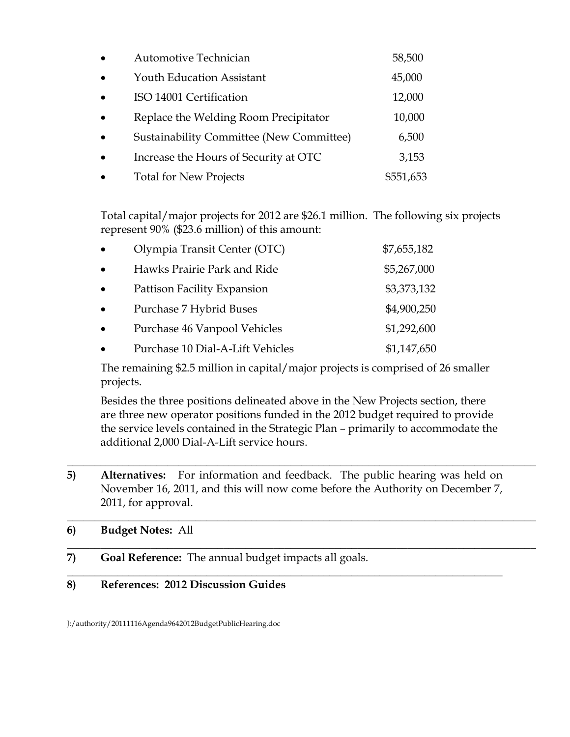| $\bullet$ | Automotive Technician                    | 58,500    |
|-----------|------------------------------------------|-----------|
|           | <b>Youth Education Assistant</b>         | 45,000    |
| $\bullet$ | ISO 14001 Certification                  | 12,000    |
|           | Replace the Welding Room Precipitator    | 10,000    |
|           | Sustainability Committee (New Committee) | 6,500     |
|           | Increase the Hours of Security at OTC    | 3,153     |
|           | <b>Total for New Projects</b>            | \$551,653 |

Total capital/major projects for 2012 are \$26.1 million. The following six projects represent 90% (\$23.6 million) of this amount:

| $\bullet$ | Olympia Transit Center (OTC)     | \$7,655,182 |
|-----------|----------------------------------|-------------|
| $\bullet$ | Hawks Prairie Park and Ride      | \$5,267,000 |
| $\bullet$ | Pattison Facility Expansion      | \$3,373,132 |
| $\bullet$ | Purchase 7 Hybrid Buses          | \$4,900,250 |
| $\bullet$ | Purchase 46 Vanpool Vehicles     | \$1,292,600 |
| $\bullet$ | Purchase 10 Dial-A-Lift Vehicles | \$1,147,650 |

The remaining \$2.5 million in capital/major projects is comprised of 26 smaller projects.

Besides the three positions delineated above in the New Projects section, there are three new operator positions funded in the 2012 budget required to provide the service levels contained in the Strategic Plan – primarily to accommodate the additional 2,000 Dial-A-Lift service hours.

\_\_\_\_\_\_\_\_\_\_\_\_\_\_\_\_\_\_\_\_\_\_\_\_\_\_\_\_\_\_\_\_\_\_\_\_\_\_\_\_\_\_\_\_\_\_\_\_\_\_\_\_\_\_\_\_\_\_\_\_\_\_\_\_\_\_\_\_\_\_\_\_\_\_\_\_\_\_\_\_\_\_\_\_

 $\_$  , and the set of the set of the set of the set of the set of the set of the set of the set of the set of the set of the set of the set of the set of the set of the set of the set of the set of the set of the set of th

\_\_\_\_\_\_\_\_\_\_\_\_\_\_\_\_\_\_\_\_\_\_\_\_\_\_\_\_\_\_\_\_\_\_\_\_\_\_\_\_\_\_\_\_\_\_\_\_\_\_\_\_\_\_\_\_\_\_\_\_\_\_\_\_\_\_\_\_\_\_\_\_\_\_\_\_\_\_\_\_\_\_\_\_

**5) Alternatives:** For information and feedback. The public hearing was held on November 16, 2011, and this will now come before the Authority on December 7, 2011, for approval.

**\_\_\_\_\_\_\_\_\_\_\_\_\_\_\_\_\_\_\_\_\_\_\_\_\_\_\_\_\_\_\_\_\_\_\_\_\_\_\_\_\_\_\_\_\_\_\_\_\_\_\_\_\_\_\_\_\_\_\_\_\_\_\_\_\_\_\_\_\_\_\_\_\_\_\_\_\_\_**

# **6) Budget Notes:** All

**7) Goal Reference:** The annual budget impacts all goals.

# **8) References: 2012 Discussion Guides**

J:/authority/20111116Agenda9642012BudgetPublicHearing.doc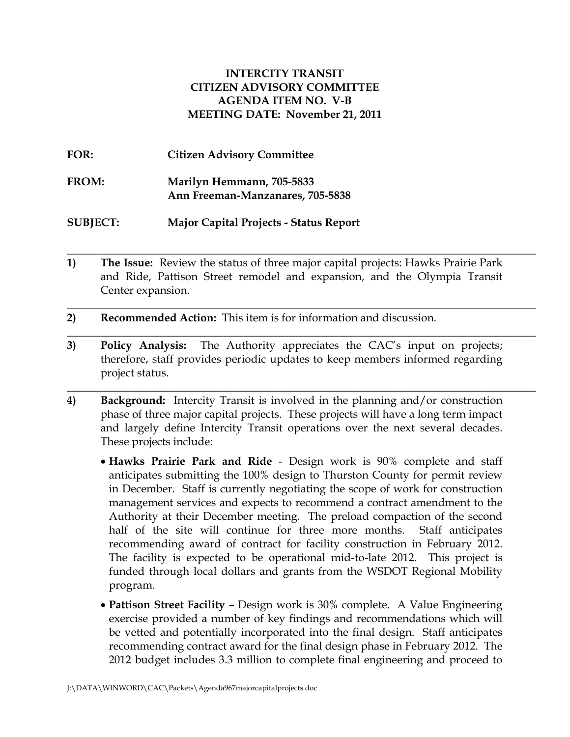### **INTERCITY TRANSIT CITIZEN ADVISORY COMMITTEE AGENDA ITEM NO. V-B MEETING DATE: November 21, 2011**

| FOR:            | <b>Citizen Advisory Committee</b>                             |
|-----------------|---------------------------------------------------------------|
| FROM:           | Marilyn Hemmann, 705-5833<br>Ann Freeman-Manzanares, 705-5838 |
| <b>SUBJECT:</b> | <b>Major Capital Projects - Status Report</b>                 |

**\_\_\_\_\_\_\_\_\_\_\_\_\_\_\_\_\_\_\_\_\_\_\_\_\_\_\_\_\_\_\_\_\_\_\_\_\_\_\_\_\_\_\_\_\_\_\_\_\_\_\_\_\_\_\_\_\_\_\_\_\_\_\_\_\_\_\_\_\_\_\_\_\_\_\_\_\_\_\_\_\_\_\_\_ 1) The Issue:** Review the status of three major capital projects: Hawks Prairie Park and Ride, Pattison Street remodel and expansion, and the Olympia Transit Center expansion.

 $\_$  , and the set of the set of the set of the set of the set of the set of the set of the set of the set of the set of the set of the set of the set of the set of the set of the set of the set of the set of the set of th

\_\_\_\_\_\_\_\_\_\_\_\_\_\_\_\_\_\_\_\_\_\_\_\_\_\_\_\_\_\_\_\_\_\_\_\_\_\_\_\_\_\_\_\_\_\_\_\_\_\_\_\_\_\_\_\_\_\_\_\_\_\_\_\_\_\_\_\_\_\_\_\_\_\_\_\_\_\_\_\_\_\_\_\_

\_\_\_\_\_\_\_\_\_\_\_\_\_\_\_\_\_\_\_\_\_\_\_\_\_\_\_\_\_\_\_\_\_\_\_\_\_\_\_\_\_\_\_\_\_\_\_\_\_\_\_\_\_\_\_\_\_\_\_\_\_\_\_\_\_\_\_\_\_\_\_\_\_\_\_\_\_\_\_\_\_\_\_\_

- **2) Recommended Action:** This item is for information and discussion.
- **3) Policy Analysis:** The Authority appreciates the CAC's input on projects; therefore, staff provides periodic updates to keep members informed regarding project status.
- **4) Background:** Intercity Transit is involved in the planning and/or construction phase of three major capital projects. These projects will have a long term impact and largely define Intercity Transit operations over the next several decades. These projects include:
	- **Hawks Prairie Park and Ride** Design work is 90% complete and staff anticipates submitting the 100% design to Thurston County for permit review in December. Staff is currently negotiating the scope of work for construction management services and expects to recommend a contract amendment to the Authority at their December meeting. The preload compaction of the second half of the site will continue for three more months. Staff anticipates recommending award of contract for facility construction in February 2012. The facility is expected to be operational mid-to-late 2012. This project is funded through local dollars and grants from the WSDOT Regional Mobility program.
	- **Pattison Street Facility** Design work is 30% complete. A Value Engineering exercise provided a number of key findings and recommendations which will be vetted and potentially incorporated into the final design. Staff anticipates recommending contract award for the final design phase in February 2012. The 2012 budget includes 3.3 million to complete final engineering and proceed to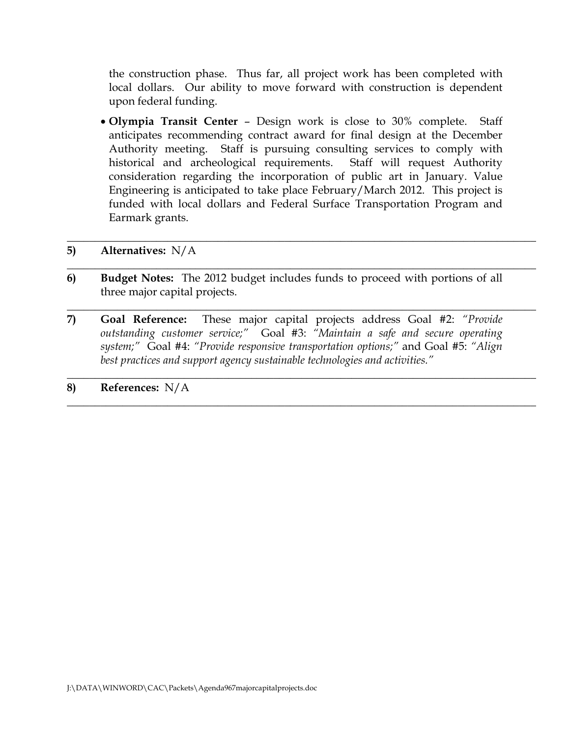the construction phase. Thus far, all project work has been completed with local dollars. Our ability to move forward with construction is dependent upon federal funding.

• **Olympia Transit Center** – Design work is close to 30% complete. Staff anticipates recommending contract award for final design at the December Authority meeting. Staff is pursuing consulting services to comply with historical and archeological requirements. Staff will request Authority consideration regarding the incorporation of public art in January. Value Engineering is anticipated to take place February/March 2012. This project is funded with local dollars and Federal Surface Transportation Program and Earmark grants.

\_\_\_\_\_\_\_\_\_\_\_\_\_\_\_\_\_\_\_\_\_\_\_\_\_\_\_\_\_\_\_\_\_\_\_\_\_\_\_\_\_\_\_\_\_\_\_\_\_\_\_\_\_\_\_\_\_\_\_\_\_\_\_\_\_\_\_\_\_\_\_\_\_\_\_\_\_\_\_\_\_\_\_\_

\_\_\_\_\_\_\_\_\_\_\_\_\_\_\_\_\_\_\_\_\_\_\_\_\_\_\_\_\_\_\_\_\_\_\_\_\_\_\_\_\_\_\_\_\_\_\_\_\_\_\_\_\_\_\_\_\_\_\_\_\_\_\_\_\_\_\_\_\_\_\_\_\_\_\_\_\_\_\_\_\_\_\_\_

\_\_\_\_\_\_\_\_\_\_\_\_\_\_\_\_\_\_\_\_\_\_\_\_\_\_\_\_\_\_\_\_\_\_\_\_\_\_\_\_\_\_\_\_\_\_\_\_\_\_\_\_\_\_\_\_\_\_\_\_\_\_\_\_\_\_\_\_\_\_\_\_\_\_\_\_\_\_\_\_\_\_\_\_

\_\_\_\_\_\_\_\_\_\_\_\_\_\_\_\_\_\_\_\_\_\_\_\_\_\_\_\_\_\_\_\_\_\_\_\_\_\_\_\_\_\_\_\_\_\_\_\_\_\_\_\_\_\_\_\_\_\_\_\_\_\_\_\_\_\_\_\_\_\_\_\_\_\_\_\_\_\_\_\_\_\_\_\_

\_\_\_\_\_\_\_\_\_\_\_\_\_\_\_\_\_\_\_\_\_\_\_\_\_\_\_\_\_\_\_\_\_\_\_\_\_\_\_\_\_\_\_\_\_\_\_\_\_\_\_\_\_\_\_\_\_\_\_\_\_\_\_\_\_\_\_\_\_\_\_\_\_\_\_\_\_\_\_\_\_\_\_\_

#### **5) Alternatives:** N/A

- **6) Budget Notes:** The 2012 budget includes funds to proceed with portions of all three major capital projects.
- **7) Goal Reference:** These major capital projects address Goal #2: *"Provide outstanding customer service;"* Goal #3: *"Maintain a safe and secure operating system;"* Goal #4: *"Provide responsive transportation options;"* and Goal #5: *"Align best practices and support agency sustainable technologies and activities."*

### **8) References:** N/A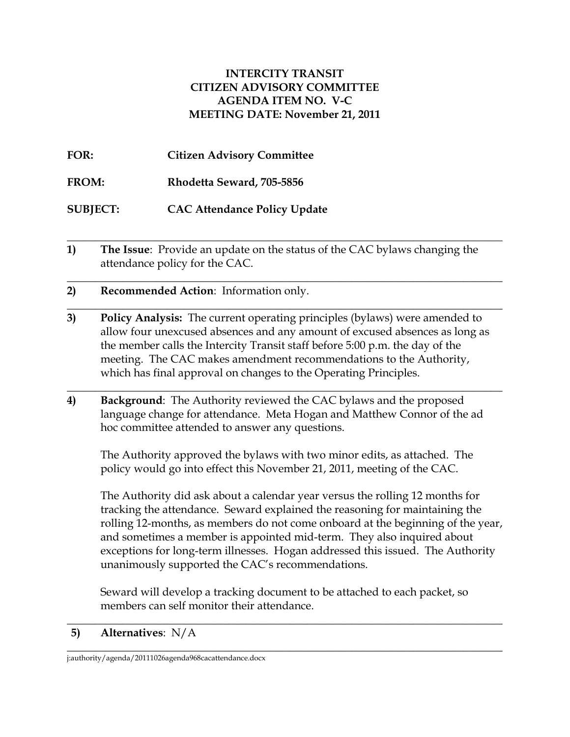### **INTERCITY TRANSIT CITIZEN ADVISORY COMMITTEE AGENDA ITEM NO. V-C MEETING DATE: November 21, 2011**

**FOR: Citizen Advisory Committee**

**FROM: Rhodetta Seward, 705-5856**

**SUBJECT: CAC Attendance Policy Update**

**\_\_\_\_\_\_\_\_\_\_\_\_\_\_\_\_\_\_\_\_\_\_\_\_\_\_\_\_\_\_\_\_\_\_\_\_\_\_\_\_\_\_\_\_\_\_\_\_\_\_\_\_\_\_\_\_\_\_\_\_\_\_\_\_\_\_\_\_\_\_\_\_\_\_\_\_\_\_ 1) The Issue**: Provide an update on the status of the CAC bylaws changing the attendance policy for the CAC.

**\_\_\_\_\_\_\_\_\_\_\_\_\_\_\_\_\_\_\_\_\_\_\_\_\_\_\_\_\_\_\_\_\_\_\_\_\_\_\_\_\_\_\_\_\_\_\_\_\_\_\_\_\_\_\_\_\_\_\_\_\_\_\_\_\_\_\_\_\_\_\_\_\_\_\_\_\_\_**

**\_\_\_\_\_\_\_\_\_\_\_\_\_\_\_\_\_\_\_\_\_\_\_\_\_\_\_\_\_\_\_\_\_\_\_\_\_\_\_\_\_\_\_\_\_\_\_\_\_\_\_\_\_\_\_\_\_\_\_\_\_\_\_\_\_\_\_\_\_\_\_\_\_\_\_\_\_\_**

- **2) Recommended Action**: Information only.
- **3) Policy Analysis:** The current operating principles (bylaws) were amended to allow four unexcused absences and any amount of excused absences as long as the member calls the Intercity Transit staff before 5:00 p.m. the day of the meeting. The CAC makes amendment recommendations to the Authority, which has final approval on changes to the Operating Principles.
- **4) Background**: The Authority reviewed the CAC bylaws and the proposed language change for attendance. Meta Hogan and Matthew Connor of the ad hoc committee attended to answer any questions.

**\_\_\_\_\_\_\_\_\_\_\_\_\_\_\_\_\_\_\_\_\_\_\_\_\_\_\_\_\_\_\_\_\_\_\_\_\_\_\_\_\_\_\_\_\_\_\_\_\_\_\_\_\_\_\_\_\_\_\_\_\_\_\_\_\_\_\_\_\_\_\_\_\_\_\_\_\_\_**

The Authority approved the bylaws with two minor edits, as attached.The policy would go into effect this November 21, 2011, meeting of the CAC.

The Authority did ask about a calendar year versus the rolling 12 months for tracking the attendance. Seward explained the reasoning for maintaining the rolling 12-months, as members do not come onboard at the beginning of the year, and sometimes a member is appointed mid-term. They also inquired about exceptions for long-term illnesses. Hogan addressed this issued. The Authority unanimously supported the CAC's recommendations.

Seward will develop a tracking document to be attached to each packet, so members can self monitor their attendance.

**\_\_\_\_\_\_\_\_\_\_\_\_\_\_\_\_\_\_\_\_\_\_\_\_\_\_\_\_\_\_\_\_\_\_\_\_\_\_\_\_\_\_\_\_\_\_\_\_\_\_\_\_\_\_\_\_\_\_\_\_\_\_\_\_\_\_\_\_\_\_\_\_\_\_\_\_\_\_ 5) Alternatives**: N/A

**\_\_\_\_\_\_\_\_\_\_\_\_\_\_\_\_\_\_\_\_\_\_\_\_\_\_\_\_\_\_\_\_\_\_\_\_\_\_\_\_\_\_\_\_\_\_\_\_\_\_\_\_\_\_\_\_\_\_\_\_\_\_\_\_\_\_\_\_\_\_\_\_\_\_\_\_\_\_** j:authority/agenda/20111026agenda968cacattendance.docx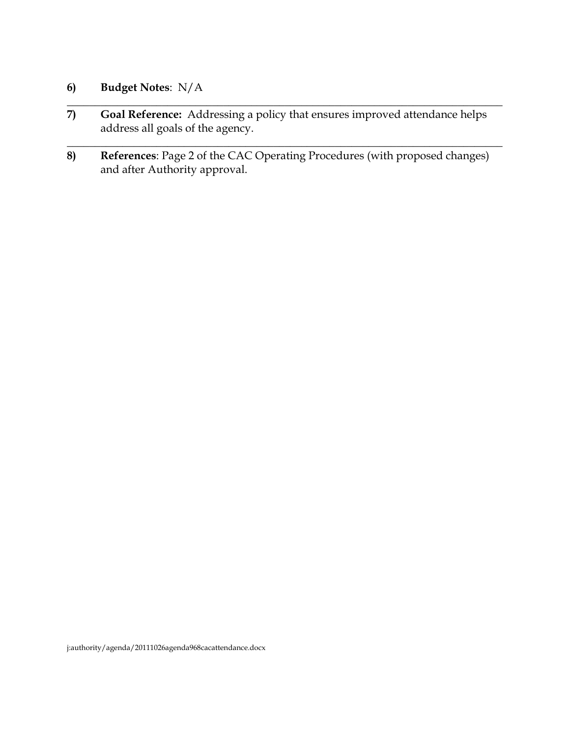# **6) Budget Notes**: N/A

**7) Goal Reference:** Addressing a policy that ensures improved attendance helps address all goals of the agency.

**\_\_\_\_\_\_\_\_\_\_\_\_\_\_\_\_\_\_\_\_\_\_\_\_\_\_\_\_\_\_\_\_\_\_\_\_\_\_\_\_\_\_\_\_\_\_\_\_\_\_\_\_\_\_\_\_\_\_\_\_\_\_\_\_\_\_\_\_\_\_\_\_\_\_\_\_\_\_**

**\_\_\_\_\_\_\_\_\_\_\_\_\_\_\_\_\_\_\_\_\_\_\_\_\_\_\_\_\_\_\_\_\_\_\_\_\_\_\_\_\_\_\_\_\_\_\_\_\_\_\_\_\_\_\_\_\_\_\_\_\_\_\_\_\_\_\_\_\_\_\_\_\_\_\_\_\_\_**

**8) References**: Page 2 of the CAC Operating Procedures (with proposed changes) and after Authority approval.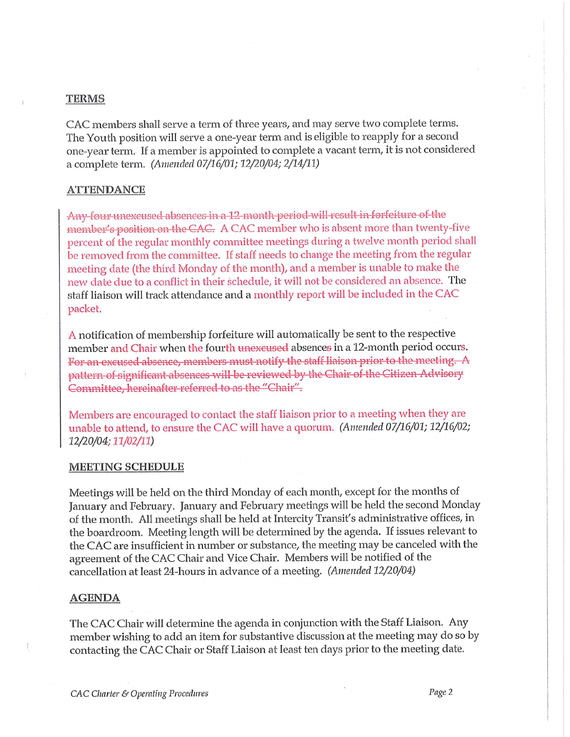#### **TERMS**

CAC members shall serve a term of three years, and may serve two complete terms. The Youth position will serve a one-year term and is eligible to reapply for a second one-year term. If a member is appointed to complete a vacant term, it is not considered a complete term. (Amended 07/16/01; 12/20/04; 2/14/11)

#### **ATTENDANCE**

Any four unexcused absences in a 12 month period will result in forfeiture of the member's position on the CAC. A CAC member who is absent more than twenty-five percent of the regular monthly committee meetings during a twelve month period shall be removed from the committee. If staff needs to change the meeting from the regular meeting date (the third Monday of the month), and a member is unable to make the new date due to a conflict in their schedule, it will not be considered an absence. The staff liaison will track attendance and a monthly report will be included in the CAC packet.

A notification of membership forfeiture will automatically be sent to the respective member and Chair when the fourth unexeused absences in a 12-month period occurs. For an excused absence, members must notify the staff liaison prior to the meeting. A pattern of significant absences will be reviewed by the Chair of the Citizen Advisory Committee, hereinafter referred to as the "Chair".

Members are encouraged to contact the staff liaison prior to a meeting when they are unable to attend, to ensure the CAC will have a quorum. (Amended 07/16/01; 12/16/02; 12/20/04; 11/02/11)

#### **MEETING SCHEDULE**

Meetings will be held on the third Monday of each month, except for the months of January and February. January and February meetings will be held the second Monday of the month. All meetings shall be held at Intercity Transit's administrative offices, in the boardroom. Meeting length will be determined by the agenda. If issues relevant to the CAC are insufficient in number or substance, the meeting may be canceled with the agreement of the CAC Chair and Vice Chair. Members will be notified of the cancellation at least 24-hours in advance of a meeting. (Amended 12/20/04)

#### **AGENDA**

The CAC Chair will determine the agenda in conjunction with the Staff Liaison. Any member wishing to add an item for substantive discussion at the meeting may do so by contacting the CAC Chair or Staff Liaison at least ten days prior to the meeting date.